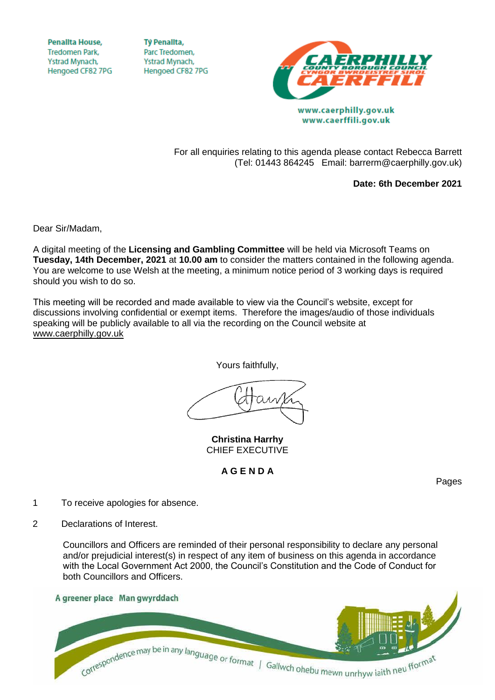**Penallta House, Tredomen Park.** Ystrad Mynach, Hengoed CF82 7PG

**TV Penallta,** Parc Tredomen. Ystrad Mynach, Hengoed CF82 7PG



www.caerphilly.gov.uk www.caerffili.gov.uk

For all enquiries relating to this agenda please contact Rebecca Barrett (Tel: 01443 864245 Email: barrerm@caerphilly.gov.uk)

**Date: 6th December 2021**

Dear Sir/Madam,

A digital meeting of the **Licensing and Gambling Committee** will be held via Microsoft Teams on **Tuesday, 14th December, 2021** at **10.00 am** to consider the matters contained in the following agenda. You are welcome to use Welsh at the meeting, a minimum notice period of 3 working days is required should you wish to do so.

This meeting will be recorded and made available to view via the Council's website, except for discussions involving confidential or exempt items. Therefore the images/audio of those individuals speaking will be publicly available to all via the recording on the Council website at [www.caerphilly.gov.uk](http://www.caerphilly.gov.uk/)

Yours faithfully,

**Christina Harrhy** CHIEF EXECUTIVE

## **A G E N D A**

Pages

- 1 To receive apologies for absence.
- 2 Declarations of Interest.

Councillors and Officers are reminded of their personal responsibility to declare any personal and/or prejudicial interest(s) in respect of any item of business on this agenda in accordance with the Local Government Act 2000, the Council's Constitution and the Code of Conduct for both Councillors and Officers.